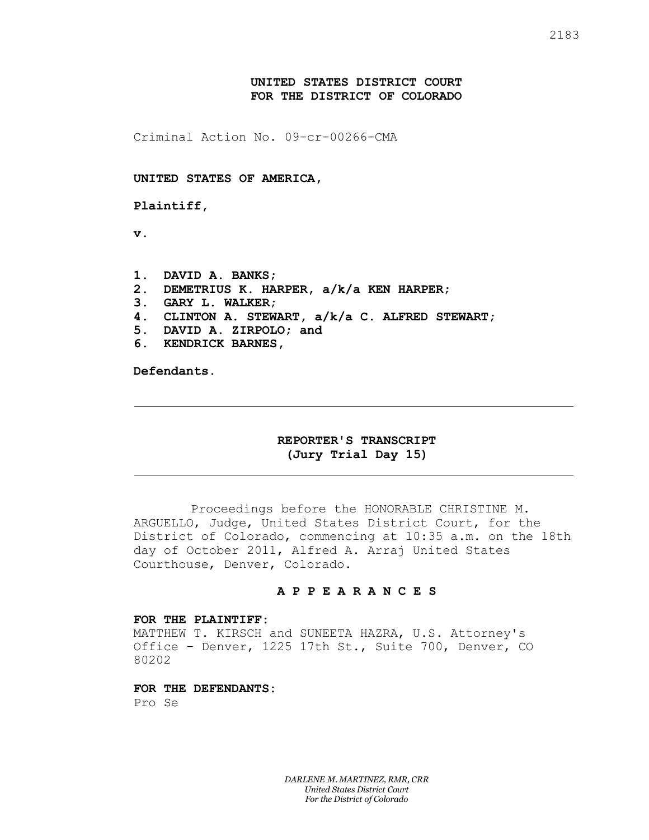# **UNITED STATES DISTRICT COURT FOR THE DISTRICT OF COLORADO**

Criminal Action No. 09-cr-00266-CMA

### **UNITED STATES OF AMERICA,**

**Plaintiff,**

**v.**

- **1. DAVID A. BANKS;**
- **2. DEMETRIUS K. HARPER, a/k/a KEN HARPER;**
- **3. GARY L. WALKER;**
- **4. CLINTON A. STEWART, a/k/a C. ALFRED STEWART;**
- **5. DAVID A. ZIRPOLO; and**
- **6. KENDRICK BARNES,**

**Defendants.**

## **REPORTER'S TRANSCRIPT (Jury Trial Day 15)**

Proceedings before the HONORABLE CHRISTINE M. ARGUELLO, Judge, United States District Court, for the District of Colorado, commencing at 10:35 a.m. on the 18th day of October 2011, Alfred A. Arraj United States Courthouse, Denver, Colorado.

## **A P P E A R A N C E S**

#### **FOR THE PLAINTIFF:**

MATTHEW T. KIRSCH and SUNEETA HAZRA, U.S. Attorney's Office - Denver, 1225 17th St., Suite 700, Denver, CO 80202

# **FOR THE DEFENDANTS:**

Pro Se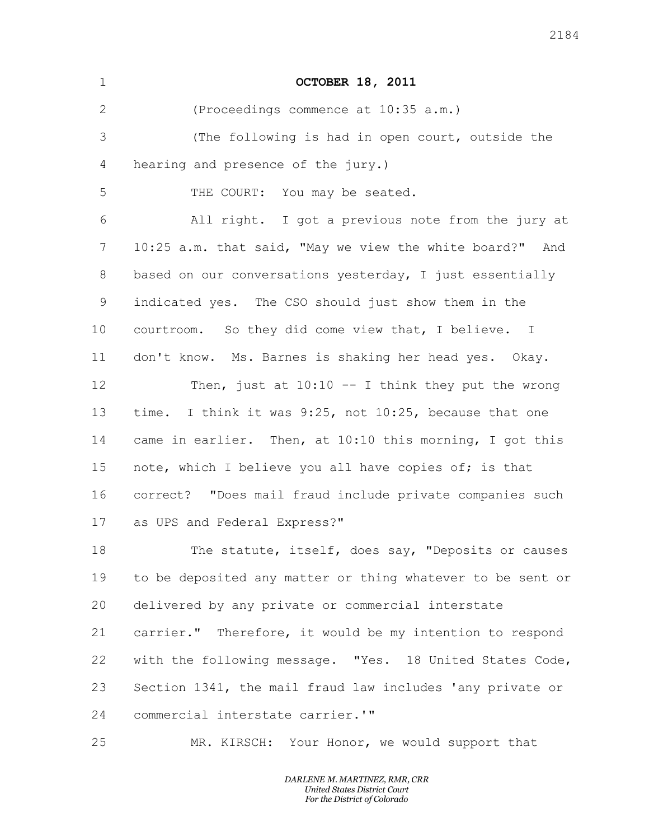| $\mathbf 1$     | <b>OCTOBER 18, 2011</b>                                    |
|-----------------|------------------------------------------------------------|
| 2               | (Proceedings commence at 10:35 a.m.)                       |
| 3               | (The following is had in open court, outside the           |
| 4               | hearing and presence of the jury.)                         |
| 5               | THE COURT: You may be seated.                              |
| 6               | All right. I got a previous note from the jury at          |
| 7               | 10:25 a.m. that said, "May we view the white board?" And   |
| 8               | based on our conversations yesterday, I just essentially   |
| 9               | indicated yes. The CSO should just show them in the        |
| 10 <sub>o</sub> | courtroom. So they did come view that, I believe. I        |
| 11              | don't know. Ms. Barnes is shaking her head yes. Okay.      |
| 12              | Then, just at $10:10 - I$ think they put the wrong         |
| 13              | time. I think it was 9:25, not 10:25, because that one     |
| 14              | came in earlier. Then, at 10:10 this morning, I got this   |
| 15              | note, which I believe you all have copies of; is that      |
| 16              | correct? "Does mail fraud include private companies such   |
| 17              | as UPS and Federal Express?"                               |
| 18              | The statute, itself, does say, "Deposits or causes         |
| 19              | to be deposited any matter or thing whatever to be sent or |
| 20              | delivered by any private or commercial interstate          |
| 21              | carrier." Therefore, it would be my intention to respond   |
| 22              | with the following message. "Yes. 18 United States Code,   |
| 23              | Section 1341, the mail fraud law includes 'any private or  |
| 24              | commercial interstate carrier.""                           |
| 25              | MR. KIRSCH: Your Honor, we would support that              |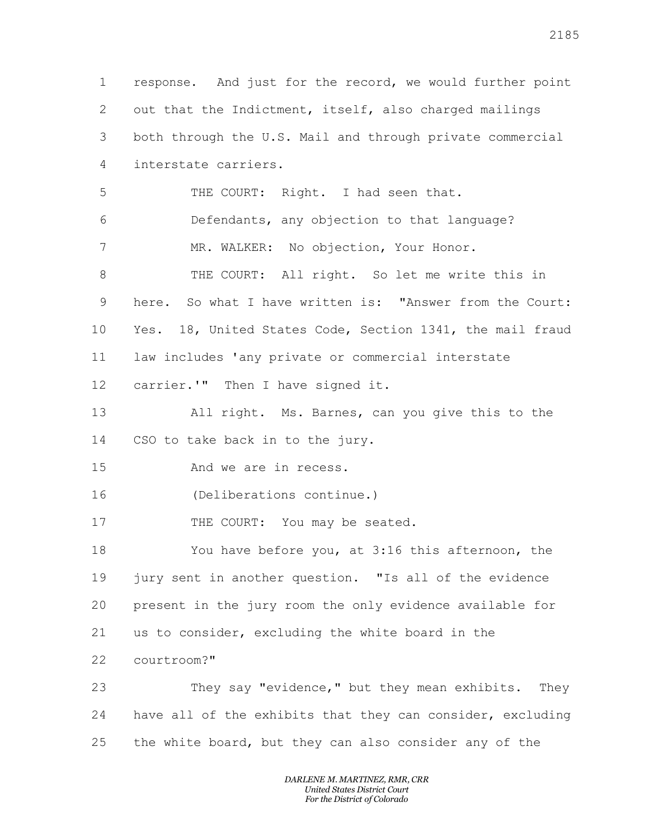response. And just for the record, we would further point out that the Indictment, itself, also charged mailings both through the U.S. Mail and through private commercial interstate carriers. THE COURT: Right. I had seen that. Defendants, any objection to that language? 7 MR. WALKER: No objection, Your Honor. THE COURT: All right. So let me write this in 9 here. So what I have written is: "Answer from the Court: Yes. 18, United States Code, Section 1341, the mail fraud law includes 'any private or commercial interstate carrier.'" Then I have signed it. All right. Ms. Barnes, can you give this to the CSO to take back in to the jury. And we are in recess. (Deliberations continue.) 17 THE COURT: You may be seated. You have before you, at 3:16 this afternoon, the jury sent in another question. "Is all of the evidence present in the jury room the only evidence available for us to consider, excluding the white board in the courtroom?" They say "evidence," but they mean exhibits. They have all of the exhibits that they can consider, excluding the white board, but they can also consider any of the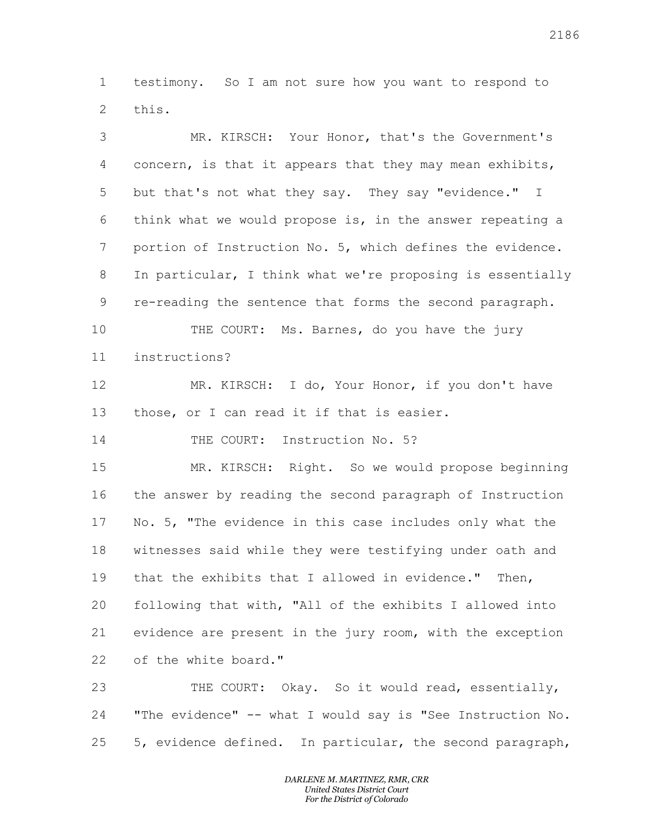testimony. So I am not sure how you want to respond to this.

 MR. KIRSCH: Your Honor, that's the Government's concern, is that it appears that they may mean exhibits, but that's not what they say. They say "evidence." I think what we would propose is, in the answer repeating a portion of Instruction No. 5, which defines the evidence. In particular, I think what we're proposing is essentially re-reading the sentence that forms the second paragraph. THE COURT: Ms. Barnes, do you have the jury instructions? 12 MR. KIRSCH: I do, Your Honor, if you don't have those, or I can read it if that is easier. 14 THE COURT: Instruction No. 5? MR. KIRSCH: Right. So we would propose beginning the answer by reading the second paragraph of Instruction No. 5, "The evidence in this case includes only what the witnesses said while they were testifying under oath and that the exhibits that I allowed in evidence." Then, following that with, "All of the exhibits I allowed into evidence are present in the jury room, with the exception of the white board." THE COURT: Okay. So it would read, essentially,

 "The evidence" -- what I would say is "See Instruction No. 5, evidence defined. In particular, the second paragraph,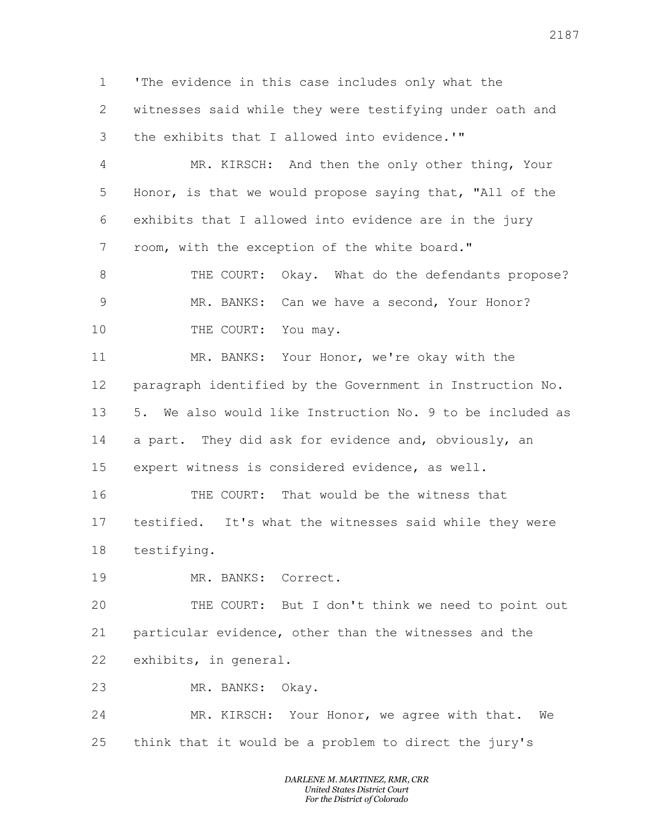'The evidence in this case includes only what the witnesses said while they were testifying under oath and the exhibits that I allowed into evidence.'"

 MR. KIRSCH: And then the only other thing, Your Honor, is that we would propose saying that, "All of the exhibits that I allowed into evidence are in the jury room, with the exception of the white board."

8 THE COURT: Okay. What do the defendants propose? MR. BANKS: Can we have a second, Your Honor? 10 THE COURT: You may.

 MR. BANKS: Your Honor, we're okay with the paragraph identified by the Government in Instruction No. 5. We also would like Instruction No. 9 to be included as a part. They did ask for evidence and, obviously, an expert witness is considered evidence, as well.

 THE COURT: That would be the witness that testified. It's what the witnesses said while they were testifying.

MR. BANKS: Correct.

 THE COURT: But I don't think we need to point out particular evidence, other than the witnesses and the exhibits, in general.

MR. BANKS: Okay.

 MR. KIRSCH: Your Honor, we agree with that. We think that it would be a problem to direct the jury's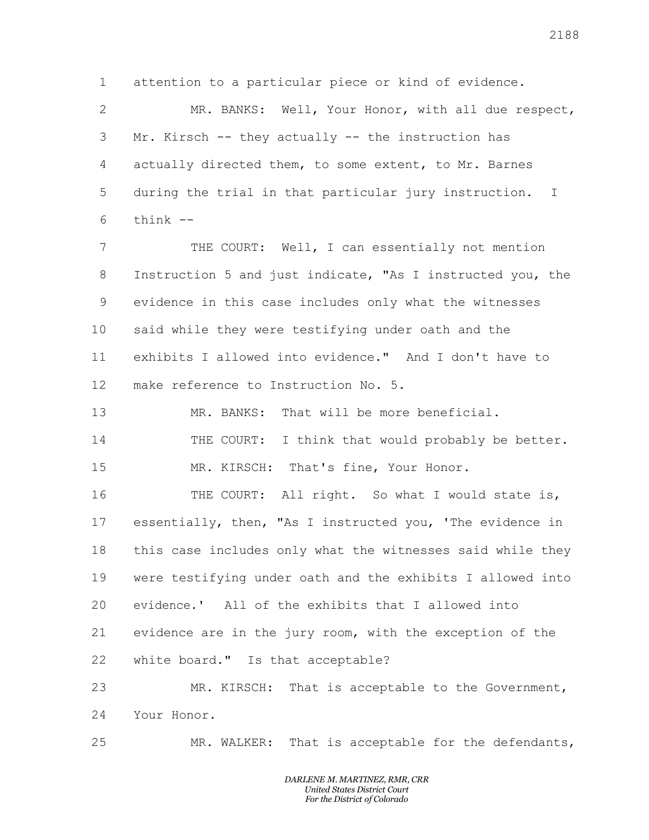attention to a particular piece or kind of evidence.

 MR. BANKS: Well, Your Honor, with all due respect, Mr. Kirsch -- they actually -- the instruction has actually directed them, to some extent, to Mr. Barnes during the trial in that particular jury instruction. I think  $-$ 

 THE COURT: Well, I can essentially not mention Instruction 5 and just indicate, "As I instructed you, the evidence in this case includes only what the witnesses said while they were testifying under oath and the exhibits I allowed into evidence." And I don't have to make reference to Instruction No. 5.

 MR. BANKS: That will be more beneficial. 14 THE COURT: I think that would probably be better. MR. KIRSCH: That's fine, Your Honor.

16 THE COURT: All right. So what I would state is, essentially, then, "As I instructed you, 'The evidence in this case includes only what the witnesses said while they were testifying under oath and the exhibits I allowed into evidence.' All of the exhibits that I allowed into evidence are in the jury room, with the exception of the white board." Is that acceptable?

 MR. KIRSCH: That is acceptable to the Government, Your Honor.

MR. WALKER: That is acceptable for the defendants,